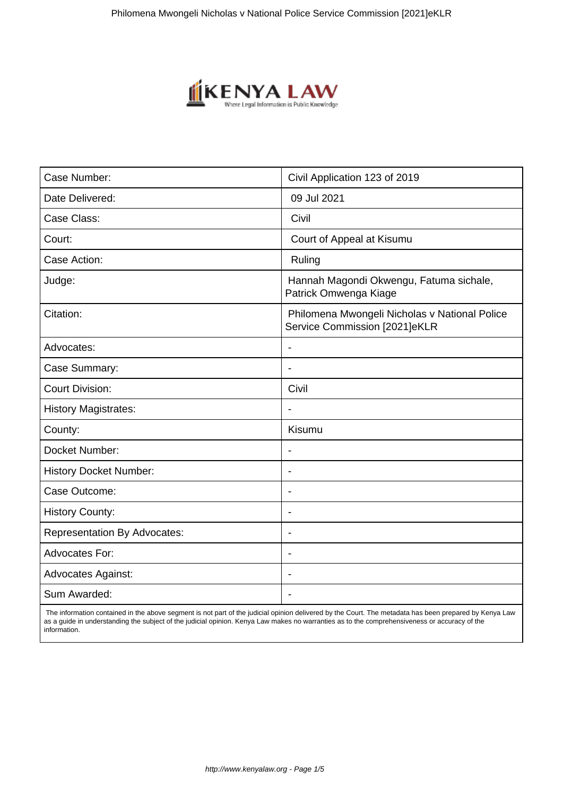

| Case Number:                        | Civil Application 123 of 2019                                                  |
|-------------------------------------|--------------------------------------------------------------------------------|
| Date Delivered:                     | 09 Jul 2021                                                                    |
| Case Class:                         | Civil                                                                          |
| Court:                              | Court of Appeal at Kisumu                                                      |
| Case Action:                        | Ruling                                                                         |
| Judge:                              | Hannah Magondi Okwengu, Fatuma sichale,<br>Patrick Omwenga Kiage               |
| Citation:                           | Philomena Mwongeli Nicholas v National Police<br>Service Commission [2021]eKLR |
| Advocates:                          |                                                                                |
| Case Summary:                       | $\blacksquare$                                                                 |
| <b>Court Division:</b>              | Civil                                                                          |
| <b>History Magistrates:</b>         |                                                                                |
| County:                             | Kisumu                                                                         |
| Docket Number:                      | $\overline{\phantom{a}}$                                                       |
| <b>History Docket Number:</b>       | $\overline{\phantom{0}}$                                                       |
| Case Outcome:                       | $\overline{\phantom{0}}$                                                       |
| <b>History County:</b>              |                                                                                |
| <b>Representation By Advocates:</b> | $\overline{\phantom{a}}$                                                       |
| <b>Advocates For:</b>               | $\blacksquare$                                                                 |
| <b>Advocates Against:</b>           | $\blacksquare$                                                                 |
| Sum Awarded:                        |                                                                                |

 The information contained in the above segment is not part of the judicial opinion delivered by the Court. The metadata has been prepared by Kenya Law as a guide in understanding the subject of the judicial opinion. Kenya Law makes no warranties as to the comprehensiveness or accuracy of the information.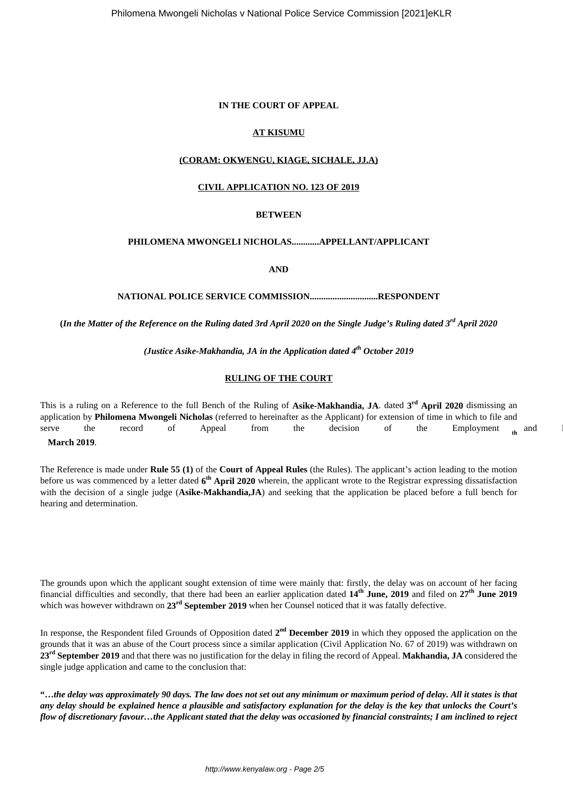#### **IN THE COURT OF APPEAL**

## **AT KISUMU**

## **(CORAM: OKWENGU, KIAGE, SICHALE, JJ.A)**

#### **CIVIL APPLICATION NO. 123 OF 2019**

#### **BETWEEN**

### **PHILOMENA MWONGELI NICHOLAS............APPELLANT/APPLICANT**

#### **AND**

#### **NATIONAL POLICE SERVICE COMMISSION..............................RESPONDENT**

**(***In the Matter of the Reference on the Ruling dated 3rd April 2020 on the Single Judge's Ruling dated 3rd April 2020*

*(Justice Asike-Makhandia, JA in the Application dated 4th October 2019*

#### **RULING OF THE COURT**

This is a ruling on a Reference to the full Bench of the Ruling of **Asike-Makhandia, JA**. dated **3 rd April 2020** dismissing an application by **Philomena Mwongeli Nicholas** (referred to hereinafter as the Applicant) for extension of time in which to file and serve the record of Appeal from the decision of the Employment <sub>th</sub> and I

## **March 2019**.

The Reference is made under **Rule 55 (1)** of the **Court of Appeal Rules** (the Rules). The applicant's action leading to the motion before us was commenced by a letter dated  $6<sup>th</sup>$  April 2020 wherein, the applicant wrote to the Registrar expressing dissatisfaction with the decision of a single judge (**Asike-Makhandia,JA**) and seeking that the application be placed before a full bench for hearing and determination.

The grounds upon which the applicant sought extension of time were mainly that: firstly, the delay was on account of her facing financial difficulties and secondly, that there had been an earlier application dated **14th June, 2019** and filed on **27th June 2019** which was however withdrawn on **23rd September 2019** when her Counsel noticed that it was fatally defective.

In response, the Respondent filed Grounds of Opposition dated  $2^{nd}$  December 2019 in which they opposed the application on the grounds that it was an abuse of the Court process since a similar application (Civil Application No. 67 of 2019) was withdrawn on **23rd September 2019** and that there was no justification for the delay in filing the record of Appeal. **Makhandia, JA** considered the single judge application and came to the conclusion that:

**"…***the delay was approximately 90 days. The law does not set out any minimum or maximum period of delay. All it states is that any delay should be explained hence a plausible and satisfactory explanation for the delay is the key that unlocks the Court's flow of discretionary favour…the Applicant stated that the delay was occasioned by financial constraints; I am inclined to reject*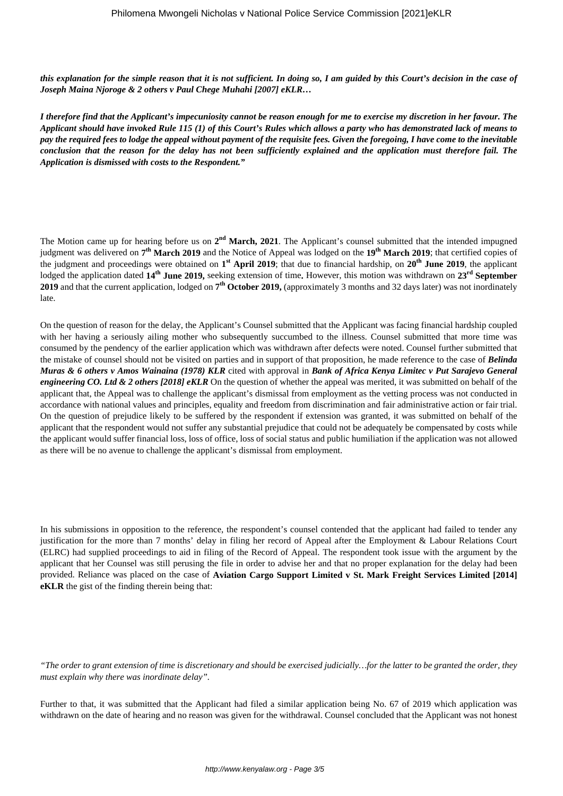*this explanation for the simple reason that it is not sufficient. In doing so, I am guided by this Court's decision in the case of Joseph Maina Njoroge & 2 others v Paul Chege Muhahi [2007] eKLR…*

*I therefore find that the Applicant's impecuniosity cannot be reason enough for me to exercise my discretion in her favour. The Applicant should have invoked Rule 115 (1) of this Court's Rules which allows a party who has demonstrated lack of means to pay the required fees to lodge the appeal without payment of the requisite fees. Given the foregoing, I have come to the inevitable conclusion that the reason for the delay has not been sufficiently explained and the application must therefore fail. The Application is dismissed with costs to the Respondent."*

The Motion came up for hearing before us on 2<sup>nd</sup> March, 2021. The Applicant's counsel submitted that the intended impugned judgment was delivered on **7 th March 2019** and the Notice of Appeal was lodged on the **19th March 2019**; that certified copies of the judgment and proceedings were obtained on **1 st April 2019**; that due to financial hardship, on **20th June 2019**, the applicant lodged the application dated **14th June 2019,** seeking extension of time**.** However, this motion was withdrawn on **23rd September 2019** and that the current application, lodged on **7 th October 2019,** (approximately 3 months and 32 days later) was not inordinately late.

On the question of reason for the delay, the Applicant's Counsel submitted that the Applicant was facing financial hardship coupled with her having a seriously ailing mother who subsequently succumbed to the illness. Counsel submitted that more time was consumed by the pendency of the earlier application which was withdrawn after defects were noted. Counsel further submitted that the mistake of counsel should not be visited on parties and in support of that proposition, he made reference to the case of *Belinda Muras & 6 others v Amos Wainaina (1978) KLR* cited with approval in *Bank of Africa Kenya Limitec v Put Sarajevo General engineering CO. Ltd & 2 others [2018] eKLR* On the question of whether the appeal was merited, it was submitted on behalf of the applicant that, the Appeal was to challenge the applicant's dismissal from employment as the vetting process was not conducted in accordance with national values and principles, equality and freedom from discrimination and fair administrative action or fair trial. On the question of prejudice likely to be suffered by the respondent if extension was granted, it was submitted on behalf of the applicant that the respondent would not suffer any substantial prejudice that could not be adequately be compensated by costs while the applicant would suffer financial loss, loss of office, loss of social status and public humiliation if the application was not allowed as there will be no avenue to challenge the applicant's dismissal from employment.

In his submissions in opposition to the reference, the respondent's counsel contended that the applicant had failed to tender any justification for the more than 7 months' delay in filing her record of Appeal after the Employment & Labour Relations Court (ELRC) had supplied proceedings to aid in filing of the Record of Appeal. The respondent took issue with the argument by the applicant that her Counsel was still perusing the file in order to advise her and that no proper explanation for the delay had been provided. Reliance was placed on the case of **Aviation Cargo Support Limited v St. Mark Freight Services Limited [2014] eKLR** the gist of the finding therein being that:

*"The order to grant extension of time is discretionary and should be exercised judicially…for the latter to be granted the order, they must explain why there was inordinate delay".*

Further to that, it was submitted that the Applicant had filed a similar application being No. 67 of 2019 which application was withdrawn on the date of hearing and no reason was given for the withdrawal. Counsel concluded that the Applicant was not honest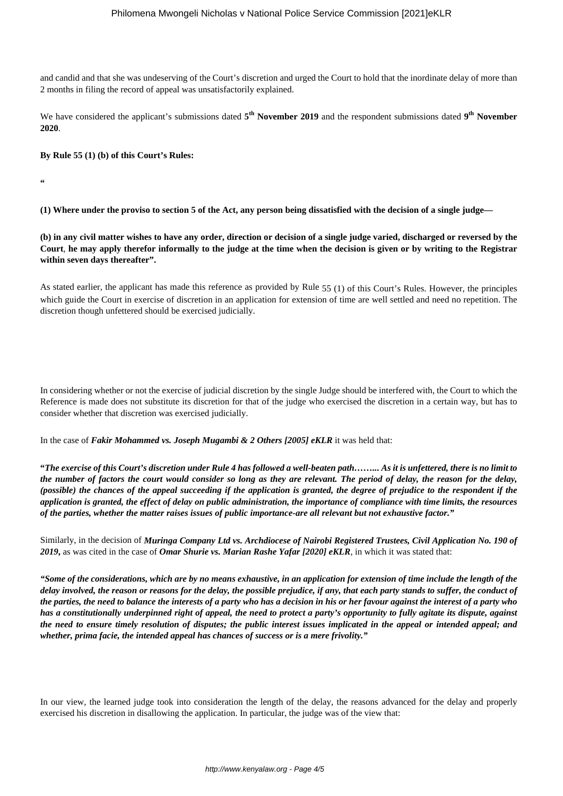and candid and that she was undeserving of the Court's discretion and urged the Court to hold that the inordinate delay of more than 2 months in filing the record of appeal was unsatisfactorily explained.

We have considered the applicant's submissions dated  $5^{th}$  November 2019 and the respondent submissions dated 9<sup>th</sup> November **2020**.

**By Rule 55 (1) (b) of this Court's Rules:**

**"**

**(1) Where under the proviso to section 5 of the Act, any person being dissatisfied with the decision of a single judge—**

**(b) in any civil matter wishes to have any order, direction or decision of a single judge varied, discharged or reversed by the Court**, **he may apply therefor informally to the judge at the time when the decision is given or by writing to the Registrar within seven days thereafter".**

As stated earlier, the applicant has made this reference as provided by Rule 55 (1) of this Court's Rules. However, the principles which guide the Court in exercise of discretion in an application for extension of time are well settled and need no repetition. The discretion though unfettered should be exercised judicially.

In considering whether or not the exercise of judicial discretion by the single Judge should be interfered with, the Court to which the Reference is made does not substitute its discretion for that of the judge who exercised the discretion in a certain way, but has to consider whether that discretion was exercised judicially.

In the case of *Fakir Mohammed vs. Joseph Mugambi & 2 Others [2005] eKLR* it was held that:

**"***The exercise of this Court's discretion under Rule 4 has followed a well-beaten path……... As it is unfettered, there is no limit to the number of factors the court would consider so long as they are relevant. The period of delay, the reason for the delay, (possible) the chances of the appeal succeeding if the application is granted, the degree of prejudice to the respondent if the application is granted, the effect of delay on public administration, the importance of compliance with time limits, the resources of the parties, whether the matter raises issues of public importance-are all relevant but not exhaustive factor."*

Similarly, in the decision of *Muringa Company Ltd vs. Archdiocese of Nairobi Registered Trustees, Civil Application No. 190 of 2019***,** as was cited in the case of *Omar Shurie vs. Marian Rashe Yafar [2020] eKLR*, in which it was stated that:

*"Some of the considerations, which are by no means exhaustive, in an application for extension of time include the length of the delay involved, the reason or reasons for the delay, the possible prejudice, if any, that each party stands to suffer, the conduct of the parties, the need to balance the interests of a party who has a decision in his or her favour against the interest of a party who has a constitutionally underpinned right of appeal, the need to protect a party's opportunity to fully agitate its dispute, against the need to ensure timely resolution of disputes; the public interest issues implicated in the appeal or intended appeal; and whether, prima facie, the intended appeal has chances of success or is a mere frivolity."*

In our view, the learned judge took into consideration the length of the delay, the reasons advanced for the delay and properly exercised his discretion in disallowing the application. In particular, the judge was of the view that: